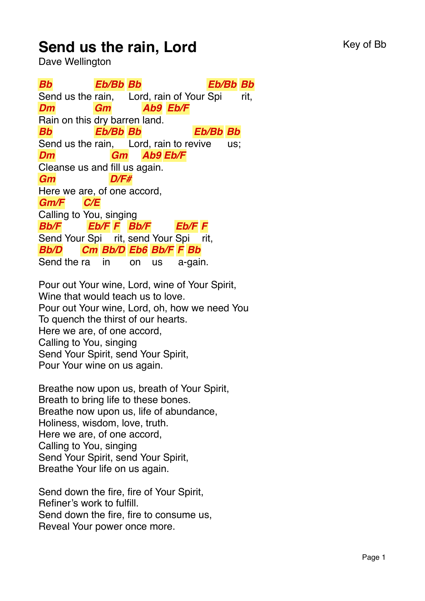## **Send us the rain, Lord** Key of Bb

Dave Wellington

*Bb* Send us the rain, *Eb/Bb Bb* Lord, rain of Your Spi *Eb/Bb Bb* rit, *Dm* Rain on this dry barren land. *Gm Ab9 Eb/F Bb* Send us the rain, Lord, rain to revive *Eb/Bb Bb Eb/Bb Bb* us; *Dm* Cleanse us and fill us again. *Gm Ab9 Eb/F Gm* Here we are, of one accord, *D/F# Gm/F* Calling to You, singing *C/E Bb/F* Send Your Spi rit, send Your Spi *Eb/F F Bb/F Eb/F F* rit, *Bb/D* Send the ra *Cm Bb/D Eb6 Bb/F F Bb* in on us a-gain.

Pour out Your wine, Lord, wine of Your Spirit, Wine that would teach us to love. Pour out Your wine, Lord, oh, how we need You To quench the thirst of our hearts. Here we are, of one accord, Calling to You, singing Send Your Spirit, send Your Spirit, Pour Your wine on us again.

Breathe now upon us, breath of Your Spirit, Breath to bring life to these bones. Breathe now upon us, life of abundance, Holiness, wisdom, love, truth. Here we are, of one accord, Calling to You, singing Send Your Spirit, send Your Spirit, Breathe Your life on us again.

Send down the fire, fire of Your Spirit, Refiner's work to fulfill. Send down the fire, fire to consume us, Reveal Your power once more.